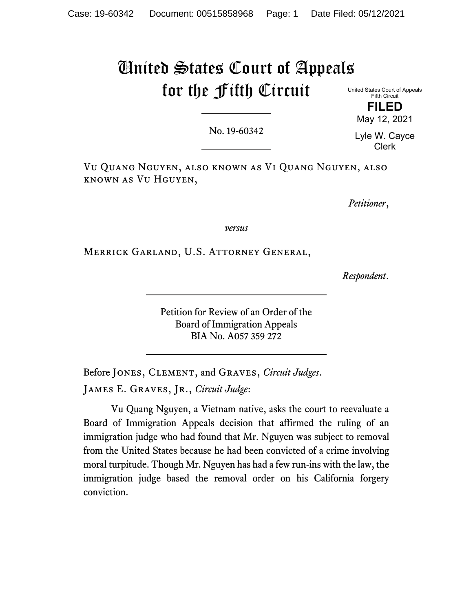# United States Court of Appeals for the Fifth Circuit

United States Court of Appeals Fifth Circuit **FILED** 

May 12, 2021

No. 19-60342

Lyle W. Cayce Clerk

Vu Quang Nguyen, also known as Vi Quang Nguyen, also known as Vu Hguyen,

*Petitioner*,

*versus*

Merrick Garland, U.S. Attorney General,

*Respondent*.

Petition for Review of an Order of the Board of Immigration Appeals BIA No. A057 359 272

Before Jones, Clement, and Graves, *Circuit Judges*. James E. Graves, Jr., *Circuit Judge*:

Vu Quang Nguyen, a Vietnam native, asks the court to reevaluate a Board of Immigration Appeals decision that affirmed the ruling of an immigration judge who had found that Mr. Nguyen was subject to removal from the United States because he had been convicted of a crime involving moral turpitude. Though Mr. Nguyen has had a few run-ins with the law, the immigration judge based the removal order on his California forgery conviction.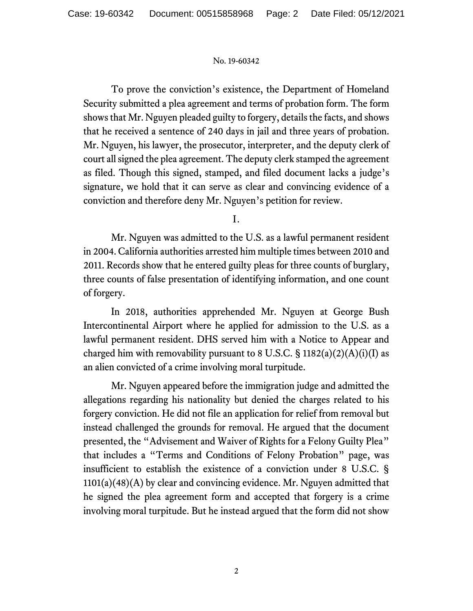To prove the conviction's existence, the Department of Homeland Security submitted a plea agreement and terms of probation form. The form shows that Mr. Nguyen pleaded guilty to forgery, details the facts, and shows that he received a sentence of 240 days in jail and three years of probation. Mr. Nguyen, his lawyer, the prosecutor, interpreter, and the deputy clerk of court all signed the plea agreement. The deputy clerk stamped the agreement as filed. Though this signed, stamped, and filed document lacks a judge's signature, we hold that it can serve as clear and convincing evidence of a conviction and therefore deny Mr. Nguyen's petition for review.

I.

Mr. Nguyen was admitted to the U.S. as a lawful permanent resident in 2004. California authorities arrested him multiple times between 2010 and 2011. Records show that he entered guilty pleas for three counts of burglary, three counts of false presentation of identifying information, and one count of forgery.

In 2018, authorities apprehended Mr. Nguyen at George Bush Intercontinental Airport where he applied for admission to the U.S. as a lawful permanent resident. DHS served him with a Notice to Appear and charged him with removability pursuant to 8 U.S.C.  $\S$  1182(a)(2)(A)(i)(I) as an alien convicted of a crime involving moral turpitude.

Mr. Nguyen appeared before the immigration judge and admitted the allegations regarding his nationality but denied the charges related to his forgery conviction. He did not file an application for relief from removal but instead challenged the grounds for removal. He argued that the document presented, the "Advisement and Waiver of Rights for a Felony Guilty Plea" that includes a "Terms and Conditions of Felony Probation" page, was insufficient to establish the existence of a conviction under 8 U.S.C. § 1101(a)(48)(A) by clear and convincing evidence. Mr. Nguyen admitted that he signed the plea agreement form and accepted that forgery is a crime involving moral turpitude. But he instead argued that the form did not show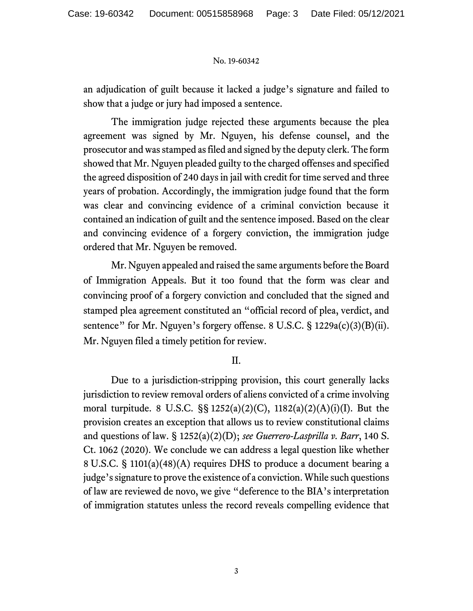an adjudication of guilt because it lacked a judge's signature and failed to show that a judge or jury had imposed a sentence.

The immigration judge rejected these arguments because the plea agreement was signed by Mr. Nguyen, his defense counsel, and the prosecutor and was stamped as filed and signed by the deputy clerk. The form showed that Mr. Nguyen pleaded guilty to the charged offenses and specified the agreed disposition of 240 days in jail with credit for time served and three years of probation. Accordingly, the immigration judge found that the form was clear and convincing evidence of a criminal conviction because it contained an indication of guilt and the sentence imposed. Based on the clear and convincing evidence of a forgery conviction, the immigration judge ordered that Mr. Nguyen be removed.

Mr. Nguyen appealed and raised the same arguments before the Board of Immigration Appeals. But it too found that the form was clear and convincing proof of a forgery conviction and concluded that the signed and stamped plea agreement constituted an "official record of plea, verdict, and sentence" for Mr. Nguyen's forgery offense. 8 U.S.C. § 1229a(c)(3)(B)(ii). Mr. Nguyen filed a timely petition for review.

# II.

Due to a jurisdiction-stripping provision, this court generally lacks jurisdiction to review removal orders of aliens convicted of a crime involving moral turpitude. 8 U.S.C. §§ 1252(a)(2)(C), 1182(a)(2)(A)(i)(I). But the provision creates an exception that allows us to review constitutional claims and questions of law. § 1252(a)(2)(D); *see Guerrero-Lasprilla v. Barr*, 140 S. Ct. 1062 (2020). We conclude we can address a legal question like whether 8 U.S.C. § 1101(a)(48)(A) requires DHS to produce a document bearing a judge's signature to prove the existence of a conviction. While such questions of law are reviewed de novo, we give "deference to the BIA's interpretation of immigration statutes unless the record reveals compelling evidence that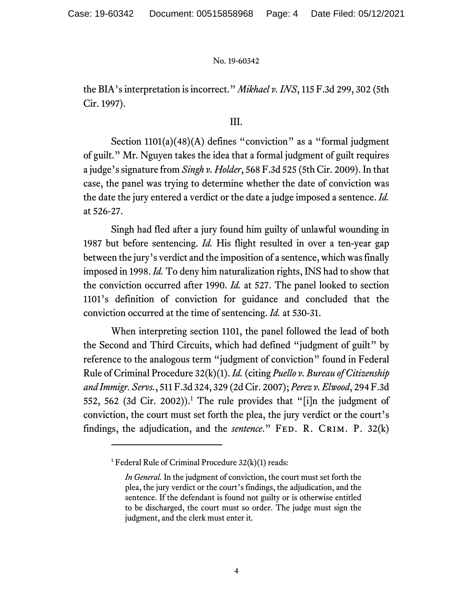the BIA's interpretation is incorrect." *Mikhael v. INS*, 115 F.3d 299, 302 (5th Cir. 1997).

## III.

Section 1101(a)(48)(A) defines "conviction" as a "formal judgment of guilt." Mr. Nguyen takes the idea that a formal judgment of guilt requires a judge's signature from *Singh v. Holder*, 568 F.3d 525 (5th Cir. 2009). In that case, the panel was trying to determine whether the date of conviction was the date the jury entered a verdict or the date a judge imposed a sentence. *Id.* at 526-27.

Singh had fled after a jury found him guilty of unlawful wounding in 1987 but before sentencing. *Id.* His flight resulted in over a ten-year gap between the jury's verdict and the imposition of a sentence, which was finally imposed in 1998. *Id.* To deny him naturalization rights, INS had to show that the conviction occurred after 1990. *Id.* at 527. The panel looked to section 1101's definition of conviction for guidance and concluded that the conviction occurred at the time of sentencing. *Id.* at 530-31.

When interpreting section 1101, the panel followed the lead of both the Second and Third Circuits, which had defined "judgment of guilt" by reference to the analogous term "judgment of conviction" found in Federal Rule of Criminal Procedure 32(k)(1). *Id.* (citing *Puello v. Bureau of Citizenship and Immigr. Servs.*, 511 F.3d 324, 329 (2d Cir. 2007); *Perez v. Elwood*, 294 F.3d 552, 562 (3d Cir. 2002)).<sup>1</sup> The rule provides that "[i]n the judgment of conviction, the court must set forth the plea, the jury verdict or the court's findings, the adjudication, and the *sentence*." FED. R. CRIM. P. 32(k)

<sup>&</sup>lt;sup>1</sup> Federal Rule of Criminal Procedure  $32(k)(1)$  reads:

*In General.* In the judgment of conviction, the court must set forth the plea, the jury verdict or the court's findings, the adjudication, and the sentence. If the defendant is found not guilty or is otherwise entitled to be discharged, the court must so order. The judge must sign the judgment, and the clerk must enter it.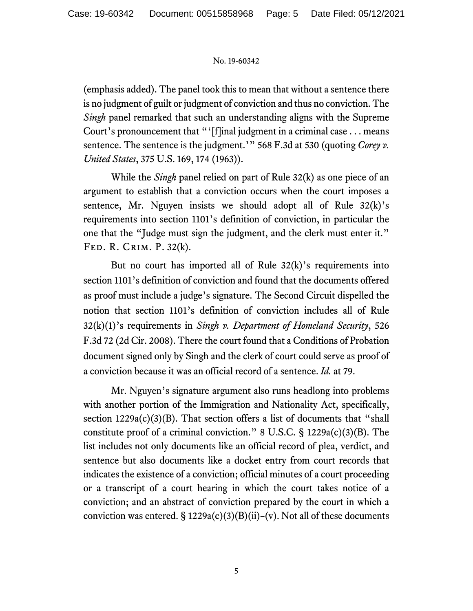(emphasis added). The panel took this to mean that without a sentence there is no judgment of guilt or judgment of conviction and thus no conviction. The *Singh* panel remarked that such an understanding aligns with the Supreme Court's pronouncement that "'[f]inal judgment in a criminal case . . . means sentence. The sentence is the judgment.'" 568 F.3d at 530 (quoting *Corey v. United States*, 375 U.S. 169, 174 (1963)).

While the *Singh* panel relied on part of Rule 32(k) as one piece of an argument to establish that a conviction occurs when the court imposes a sentence, Mr. Nguyen insists we should adopt all of Rule  $32(k)$ 's requirements into section 1101's definition of conviction, in particular the one that the "Judge must sign the judgment, and the clerk must enter it." Fed. R. Crim. P. 32(k).

But no court has imported all of Rule  $32(k)$ 's requirements into section 1101's definition of conviction and found that the documents offered as proof must include a judge's signature. The Second Circuit dispelled the notion that section 1101's definition of conviction includes all of Rule 32(k)(1)'s requirements in *Singh v. Department of Homeland Security*, 526 F.3d 72 (2d Cir. 2008). There the court found that a Conditions of Probation document signed only by Singh and the clerk of court could serve as proof of a conviction because it was an official record of a sentence. *Id.* at 79.

Mr. Nguyen's signature argument also runs headlong into problems with another portion of the Immigration and Nationality Act, specifically, section  $1229a(c)(3)(B)$ . That section offers a list of documents that "shall constitute proof of a criminal conviction." 8 U.S.C.  $\S$  1229a(c)(3)(B). The list includes not only documents like an official record of plea, verdict, and sentence but also documents like a docket entry from court records that indicates the existence of a conviction; official minutes of a court proceeding or a transcript of a court hearing in which the court takes notice of a conviction; and an abstract of conviction prepared by the court in which a conviction was entered.  $\S 1229a(c)(3)(B)(ii)-(v)$ . Not all of these documents